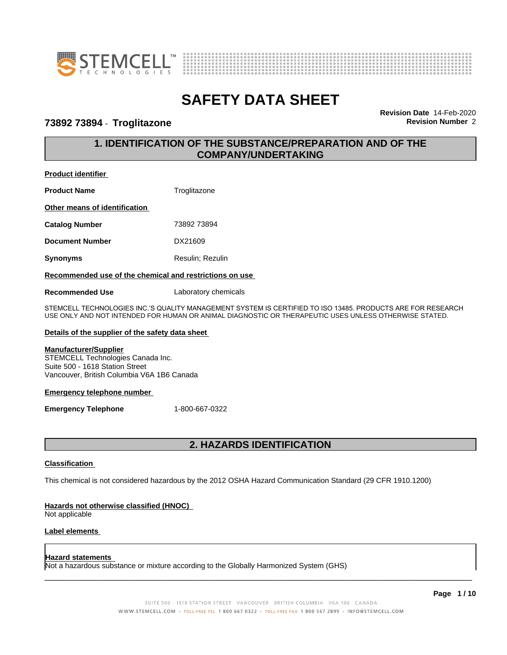



## **73892 73894** - **Troglitazone Revision Number** 2

**Revision Date** 14-Feb-2020

# **1. IDENTIFICATION OF THE SUBSTANCE/PREPARATION AND OF THE COMPANY/UNDERTAKING**

#### **Product identifier**

| <b>Product Name</b>           | Troglitazone     |
|-------------------------------|------------------|
| Other means of identification |                  |
| <b>Catalog Number</b>         | 73892 73894      |
| <b>Document Number</b>        | DX21609          |
| Synonyms                      | Resulin; Rezulin |
|                               |                  |

#### **Recommended use of the chemical and restrictions on use**

**Recommended Use** Laboratory chemicals

STEMCELL TECHNOLOGIES INC.'S QUALITY MANAGEMENT SYSTEM IS CERTIFIED TO ISO 13485. PRODUCTS ARE FOR RESEARCH USE ONLY AND NOT INTENDED FOR HUMAN OR ANIMAL DIAGNOSTIC OR THERAPEUTIC USES UNLESS OTHERWISE STATED.

#### **Details of the supplier of the safety data sheet**

## **Manufacturer/Supplier**

STEMCELL Technologies Canada Inc. Suite 500 - 1618 Station Street Vancouver, British Columbia V6A 1B6 Canada

#### **Emergency telephone number**

**Emergency Telephone** 1-800-667-0322

# **2. HAZARDS IDENTIFICATION**

#### **Classification**

This chemical is not considered hazardous by the 2012 OSHA Hazard Communication Standard (29 CFR 1910.1200)

#### **Hazards not otherwise classified (HNOC)**

Not applicable

#### **Label elements**

#### **Hazard statements**

Not a hazardous substance or mixture according to the Globally Harmonized System (GHS)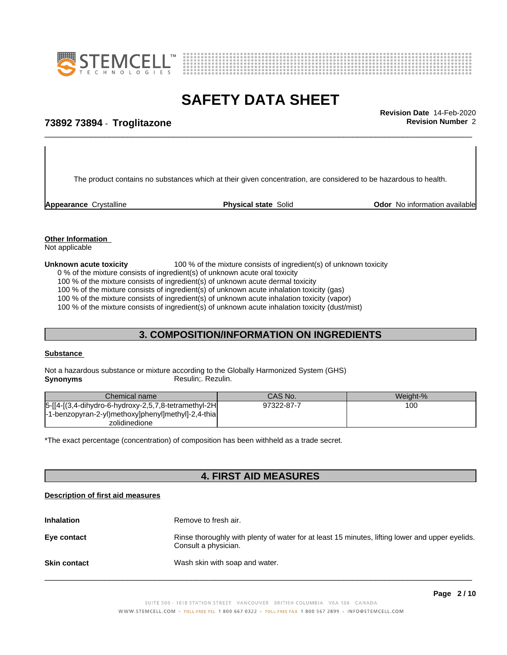



\_\_\_\_\_\_\_\_\_\_\_\_\_\_\_\_\_\_\_\_\_\_\_\_\_\_\_\_\_\_\_\_\_\_\_\_\_\_\_\_\_\_\_\_\_\_\_\_\_\_\_\_\_\_\_\_\_\_\_\_\_\_\_\_\_\_\_\_\_\_\_\_\_\_\_\_\_\_\_\_\_\_\_\_\_\_\_\_\_\_\_\_\_ **Revision Date** 14-Feb-2020

# **73892 73894** - **Troglitazone Revision Number** 2

The product contains no substances which at their given concentration, are considered to be hazardous to health.

**Appearance** Crystalline **Physical state** Solid **Odor** No information available

## **Other Information**

Not applicable

#### **Unknown acute toxicity** 100 % of the mixture consists of ingredient(s) of unknown toxicity

0 % of the mixture consists of ingredient(s) of unknown acute oral toxicity

100 % of the mixture consists of ingredient(s) of unknown acute dermal toxicity

100 % of the mixture consists of ingredient(s) of unknown acute inhalation toxicity (gas)

100 % of the mixture consists of ingredient(s) of unknown acute inhalation toxicity (vapor)

100 % of the mixture consists of ingredient(s) of unknown acute inhalation toxicity (dust/mist)

## **3. COMPOSITION/INFORMATION ON INGREDIENTS**

#### **Substance**

Not a hazardous substance or mixture according to the Globally Harmonized System (GHS) **Synonyms** Resulin; Rezulin.

| Chemical name                                            | CAS No.    | Weight-% |
|----------------------------------------------------------|------------|----------|
| $ 5-[14-(3,4-dihydro-6-hydroxy-2,5,7,8-tetramethyl-2H] $ | 97322-87-7 | 100      |
| -1-benzopyran-2-yl)methoxy]phenyl]methyl]-2,4-thia       |            |          |
| zolidinedione                                            |            |          |

\*The exact percentage (concentration) of composition has been withheld as a trade secret.

# **4. FIRST AID MEASURES**

#### **Description of first aid measures**

| <b>Inhalation</b>   | Remove to fresh air.                                                                                                    |
|---------------------|-------------------------------------------------------------------------------------------------------------------------|
| Eye contact         | Rinse thoroughly with plenty of water for at least 15 minutes, lifting lower and upper eyelids.<br>Consult a physician. |
| <b>Skin contact</b> | Wash skin with soap and water.                                                                                          |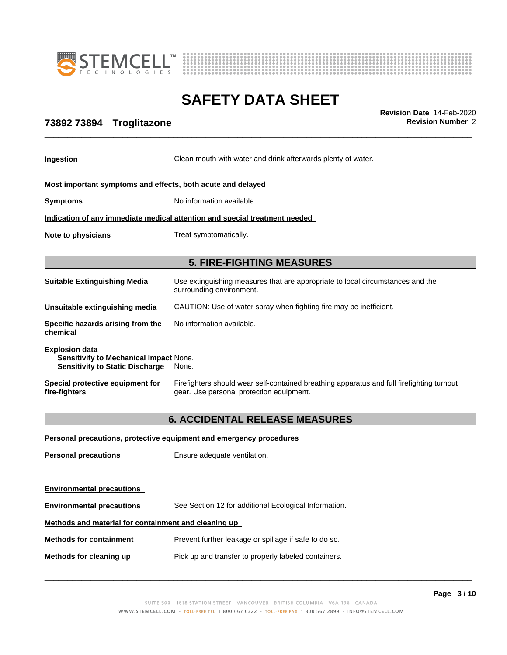



\_\_\_\_\_\_\_\_\_\_\_\_\_\_\_\_\_\_\_\_\_\_\_\_\_\_\_\_\_\_\_\_\_\_\_\_\_\_\_\_\_\_\_\_\_\_\_\_\_\_\_\_\_\_\_\_\_\_\_\_\_\_\_\_\_\_\_\_\_\_\_\_\_\_\_\_\_\_\_\_\_\_\_\_\_\_\_\_\_\_\_\_\_ **Revision Date** 14-Feb-2020

# **73892 73894** - **Troglitazone Revision Number** 2

| <b>Ingestion</b>                                                                                          | Clean mouth with water and drink afterwards plenty of water.                                                                          |  |  |
|-----------------------------------------------------------------------------------------------------------|---------------------------------------------------------------------------------------------------------------------------------------|--|--|
| Most important symptoms and effects, both acute and delayed                                               |                                                                                                                                       |  |  |
| <b>Symptoms</b>                                                                                           | No information available.                                                                                                             |  |  |
|                                                                                                           | Indication of any immediate medical attention and special treatment needed                                                            |  |  |
| Note to physicians                                                                                        | Treat symptomatically.                                                                                                                |  |  |
|                                                                                                           | <b>5. FIRE-FIGHTING MEASURES</b>                                                                                                      |  |  |
|                                                                                                           |                                                                                                                                       |  |  |
| <b>Suitable Extinguishing Media</b>                                                                       | Use extinguishing measures that are appropriate to local circumstances and the<br>surrounding environment.                            |  |  |
| Unsuitable extinguishing media                                                                            | CAUTION: Use of water spray when fighting fire may be inefficient.                                                                    |  |  |
| Specific hazards arising from the<br>chemical                                                             | No information available.                                                                                                             |  |  |
| <b>Explosion data</b><br>Sensitivity to Mechanical Impact None.<br><b>Sensitivity to Static Discharge</b> | None.                                                                                                                                 |  |  |
| Special protective equipment for<br>fire-fighters                                                         | Firefighters should wear self-contained breathing apparatus and full firefighting turnout<br>gear. Use personal protection equipment. |  |  |
|                                                                                                           |                                                                                                                                       |  |  |

# **6. ACCIDENTAL RELEASE MEASURES**

| Personal precautions, protective equipment and emergency procedures |                                                       |  |
|---------------------------------------------------------------------|-------------------------------------------------------|--|
| <b>Personal precautions</b>                                         | Ensure adequate ventilation.                          |  |
| <b>Environmental precautions</b>                                    |                                                       |  |
| <b>Environmental precautions</b>                                    | See Section 12 for additional Ecological Information. |  |
| Methods and material for containment and cleaning up                |                                                       |  |
| <b>Methods for containment</b>                                      | Prevent further leakage or spillage if safe to do so. |  |
| Methods for cleaning up                                             | Pick up and transfer to properly labeled containers.  |  |
|                                                                     |                                                       |  |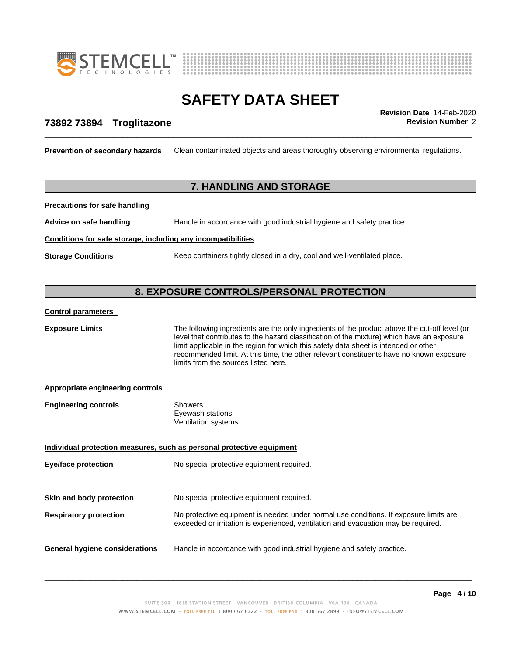



\_\_\_\_\_\_\_\_\_\_\_\_\_\_\_\_\_\_\_\_\_\_\_\_\_\_\_\_\_\_\_\_\_\_\_\_\_\_\_\_\_\_\_\_\_\_\_\_\_\_\_\_\_\_\_\_\_\_\_\_\_\_\_\_\_\_\_\_\_\_\_\_\_\_\_\_\_\_\_\_\_\_\_\_\_\_\_\_\_\_\_\_\_ **Revision Date** 14-Feb-2020

# **73892 73894** - **Troglitazone Revision Number** 2

**Prevention of secondary hazards** Clean contaminated objects and areas thoroughly observing environmental regulations.

# **7. HANDLING AND STORAGE**

**Precautions for safe handling**

**Advice on safe handling** Handle in accordance with good industrial hygiene and safety practice.

#### **Conditions for safe storage, including any incompatibilities**

**Storage Conditions** Keep containers tightly closed in a dry, cool and well-ventilated place.

# **8. EXPOSURE CONTROLS/PERSONAL PROTECTION**

#### **Control parameters**

**Exposure Limits** The following ingredients are the only ingredients of the product above the cut-off level (or level that contributes to the hazard classification of the mixture) which have an exposure limit applicable in the region for which this safety data sheet is intended or other recommended limit. At this time, the other relevant constituents have no known exposure limits from the sources listed here.**Appropriate engineering controls Engineering controls** Showers Eyewash stations Ventilation systems. **Individual protection measures, such as personal protective equipment Eye/face protection** No special protective equipment required. **Skin and body protection** No special protective equipment required. **Respiratory protection** No protective equipment is needed under normal use conditions. If exposure limits are exceeded or irritation is experienced, ventilation and evacuation may be required. **General hygiene considerations** Handle in accordance with good industrial hygiene and safety practice.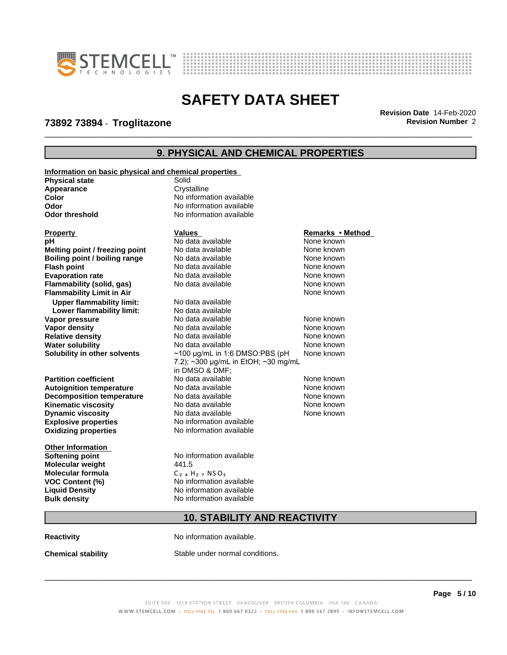



**73892 73894** - **Troglitazone Revision Number** 2

\_\_\_\_\_\_\_\_\_\_\_\_\_\_\_\_\_\_\_\_\_\_\_\_\_\_\_\_\_\_\_\_\_\_\_\_\_\_\_\_\_\_\_\_\_\_\_\_\_\_\_\_\_\_\_\_\_\_\_\_\_\_\_\_\_\_\_\_\_\_\_\_\_\_\_\_\_\_\_\_\_\_\_\_\_\_\_\_\_\_\_\_\_ **Revision Date** 14-Feb-2020

# **9. PHYSICAL AND CHEMICAL PROPERTIES**

| Information on basic physical and chemical properties |                                                                                               |                  |
|-------------------------------------------------------|-----------------------------------------------------------------------------------------------|------------------|
| <b>Physical state</b>                                 | Solid                                                                                         |                  |
| Appearance                                            | Crystalline                                                                                   |                  |
| Color                                                 | No information available                                                                      |                  |
| Odor                                                  | No information available                                                                      |                  |
| <b>Odor threshold</b>                                 | No information available                                                                      |                  |
| <b>Property</b>                                       | <b>Values</b>                                                                                 | Remarks • Method |
| pH                                                    | No data available                                                                             | None known       |
| Melting point / freezing point                        | No data available                                                                             | None known       |
| Boiling point / boiling range                         | No data available                                                                             | None known       |
| <b>Flash point</b>                                    | No data available                                                                             | None known       |
| <b>Evaporation rate</b>                               | No data available                                                                             | None known       |
| Flammability (solid, gas)                             | No data available                                                                             | None known       |
| <b>Flammability Limit in Air</b>                      |                                                                                               | None known       |
| <b>Upper flammability limit:</b>                      | No data available                                                                             |                  |
| Lower flammability limit:                             | No data available                                                                             |                  |
| Vapor pressure                                        | No data available                                                                             | None known       |
| Vapor density                                         | No data available                                                                             | None known       |
| <b>Relative density</b>                               | No data available                                                                             | None known       |
| <b>Water solubility</b>                               | No data available                                                                             | None known       |
| Solubility in other solvents                          | $\sim$ 100 µg/mL in 1:6 DMSO:PBS (pH<br>7.2); ~300 µg/mL in EtOH; ~30 mg/mL<br>in DMSO & DMF; | None known       |
| <b>Partition coefficient</b>                          | No data available                                                                             | None known       |
| <b>Autoignition temperature</b>                       | No data available                                                                             | None known       |
| <b>Decomposition temperature</b>                      | No data available                                                                             | None known       |
| <b>Kinematic viscosity</b>                            | No data available                                                                             | None known       |
| <b>Dynamic viscosity</b>                              | No data available                                                                             | None known       |
| <b>Explosive properties</b>                           | No information available                                                                      |                  |
| <b>Oxidizing properties</b>                           | No information available                                                                      |                  |
| <b>Other Information</b>                              |                                                                                               |                  |
| <b>Softening point</b>                                | No information available                                                                      |                  |
| <b>Molecular weight</b>                               | 441.5                                                                                         |                  |
| <b>Molecular formula</b>                              | $C_{24}H_{27}NSO_5$                                                                           |                  |
| <b>VOC Content (%)</b>                                | No information available                                                                      |                  |
| <b>Liquid Density</b>                                 | No information available                                                                      |                  |
| <b>Bulk density</b>                                   | No information available                                                                      |                  |
| <b>10. STABILITY AND REACTIVITY</b>                   |                                                                                               |                  |
|                                                       |                                                                                               |                  |

**Reactivity No information available.** 

**Chemical stability** Stable under normal conditions.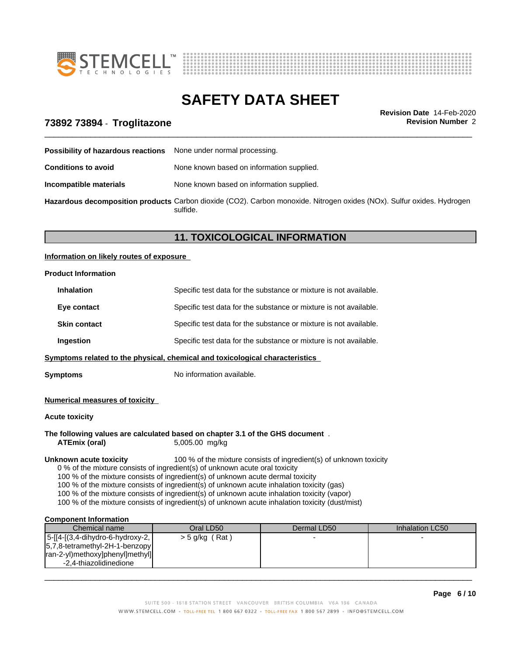



\_\_\_\_\_\_\_\_\_\_\_\_\_\_\_\_\_\_\_\_\_\_\_\_\_\_\_\_\_\_\_\_\_\_\_\_\_\_\_\_\_\_\_\_\_\_\_\_\_\_\_\_\_\_\_\_\_\_\_\_\_\_\_\_\_\_\_\_\_\_\_\_\_\_\_\_\_\_\_\_\_\_\_\_\_\_\_\_\_\_\_\_\_ **Revision Date** 14-Feb-2020

# **73892 73894** - **Troglitazone Revision Number** 2

| <b>Possibility of hazardous reactions</b> None under normal processing. |                                                                                                                                    |
|-------------------------------------------------------------------------|------------------------------------------------------------------------------------------------------------------------------------|
| <b>Conditions to avoid</b>                                              | None known based on information supplied.                                                                                          |
| Incompatible materials                                                  | None known based on information supplied.                                                                                          |
|                                                                         | Hazardous decomposition products Carbon dioxide (CO2). Carbon monoxide. Nitrogen oxides (NOx). Sulfur oxides. Hydrogen<br>sulfide. |

# **11. TOXICOLOGICAL INFORMATION**

#### **Information on likely routes of exposure**

#### **Product Information**

| Specific test data for the substance or mixture is not available. |
|-------------------------------------------------------------------|
| Specific test data for the substance or mixture is not available. |
| Specific test data for the substance or mixture is not available. |
| Specific test data for the substance or mixture is not available. |
|                                                                   |

**Symptoms related to the physical,chemical and toxicological characteristics**

**Symptoms** No information available.

#### **Numerical measures of toxicity**

**Acute toxicity**

#### **The following values are calculated based on chapter 3.1 of the GHS document** .

**ATEmix (oral)** 5,005.00 mg/kg

**Unknown acute toxicity** 100 % of the mixture consists of ingredient(s) of unknown toxicity

0 % of the mixture consists of ingredient(s) of unknown acute oral toxicity

100 % of the mixture consists of ingredient(s) of unknown acute dermal toxicity

100 % of the mixture consists of ingredient(s) of unknown acute inhalation toxicity (gas)

100 % of the mixture consists of ingredient(s) of unknown acute inhalation toxicity (vapor)

100 % of the mixture consists of ingredient(s) of unknown acute inhalation toxicity (dust/mist)

#### **Component Information**

| Chemical name                      | Oral LD50        | Dermal LD50 | Inhalation LC50 |
|------------------------------------|------------------|-------------|-----------------|
| $ 5-[4-[3,4-dihydro-6-hydroxy-2,$  | $>$ 5 g/kg (Rat) |             |                 |
| $ 5,7,8$ -tetramethyl-2H-1-benzopy |                  |             |                 |
| ran-2-yl)methoxy]phenyl]methyl]    |                  |             |                 |
| -2.4-thiazolidinedione             |                  |             |                 |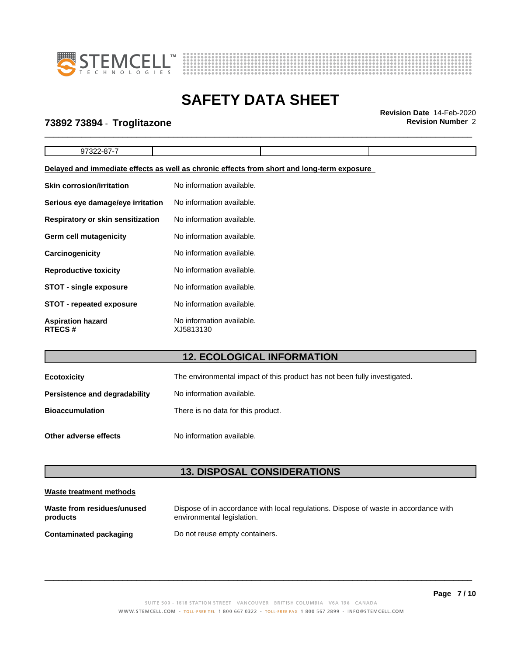



# **SAFETY DATA SHEET**<br>Revision Date 14-Feb-2020

\_\_\_\_\_\_\_\_\_\_\_\_\_\_\_\_\_\_\_\_\_\_\_\_\_\_\_\_\_\_\_\_\_\_\_\_\_\_\_\_\_\_\_\_\_\_\_\_\_\_\_\_\_\_\_\_\_\_\_\_\_\_\_\_\_\_\_\_\_\_\_\_\_\_\_\_\_\_\_\_\_\_\_\_\_\_\_\_\_\_\_\_\_ **Revision Date** 14-Feb-2020

# **73892 73894** - **Troglitazone Revision Number** 2

| ີ |  |  |
|---|--|--|
|   |  |  |

#### **Delayed and immediate effects as well as chronic effects from short and long-term exposure**

| <b>Skin corrosion/irritation</b>          | No information available.              |
|-------------------------------------------|----------------------------------------|
| Serious eye damage/eye irritation         | No information available.              |
| <b>Respiratory or skin sensitization</b>  | No information available.              |
| Germ cell mutagenicity                    | No information available.              |
| <b>Carcinogenicity</b>                    | No information available.              |
| <b>Reproductive toxicity</b>              | No information available.              |
| <b>STOT - single exposure</b>             | No information available.              |
| <b>STOT - repeated exposure</b>           | No information available.              |
| <b>Aspiration hazard</b><br><b>RTECS#</b> | No information available.<br>XJ5813130 |

# **12. ECOLOGICAL INFORMATION**

| <b>Ecotoxicity</b>            | The environmental impact of this product has not been fully investigated. |
|-------------------------------|---------------------------------------------------------------------------|
| Persistence and degradability | No information available.                                                 |
| <b>Bioaccumulation</b>        | There is no data for this product.                                        |
| Other adverse effects         | No information available.                                                 |

# **13. DISPOSAL CONSIDERATIONS**

#### **Waste treatment methods**

| Waste from residues/unused    | Dispose of in accordance with local regulations. Dispose of waste in accordance with |
|-------------------------------|--------------------------------------------------------------------------------------|
| products                      | environmental legislation.                                                           |
| <b>Contaminated packaging</b> | Do not reuse empty containers.                                                       |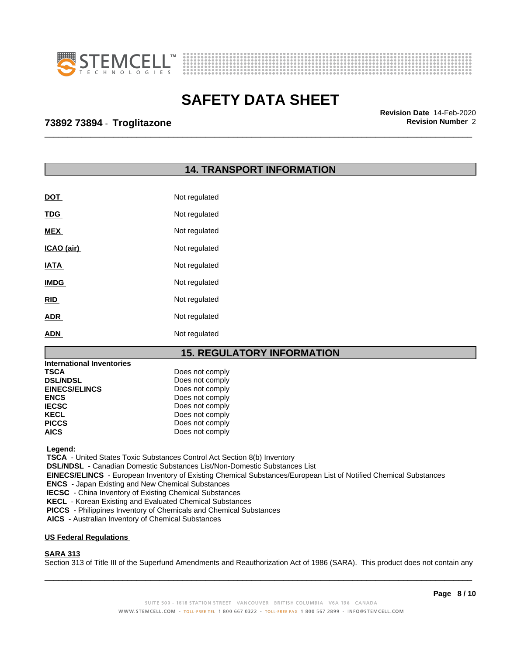



\_\_\_\_\_\_\_\_\_\_\_\_\_\_\_\_\_\_\_\_\_\_\_\_\_\_\_\_\_\_\_\_\_\_\_\_\_\_\_\_\_\_\_\_\_\_\_\_\_\_\_\_\_\_\_\_\_\_\_\_\_\_\_\_\_\_\_\_\_\_\_\_\_\_\_\_\_\_\_\_\_\_\_\_\_\_\_\_\_\_\_\_\_ **Revision Date** 14-Feb-2020

# **73892 73894** - **Troglitazone Revision Number** 2

# **14. TRANSPORT INFORMATION**

| <b>DOT</b>  | Not regulated |
|-------------|---------------|
| <b>TDG</b>  | Not regulated |
| <b>MEX</b>  | Not regulated |
| ICAO (air)  | Not regulated |
| <b>IATA</b> | Not regulated |
| <b>IMDG</b> | Not regulated |
| <b>RID</b>  | Not regulated |
| <b>ADR</b>  | Not regulated |
| <b>ADN</b>  | Not regulated |

## **15. REGULATORY INFORMATION**

| <b>International Inventories</b> |                 |
|----------------------------------|-----------------|
| <b>TSCA</b>                      | Does not comply |
| <b>DSL/NDSL</b>                  | Does not comply |
| <b>EINECS/ELINCS</b>             | Does not comply |
| <b>ENCS</b>                      | Does not comply |
| <b>IECSC</b>                     | Does not comply |
| <b>KECL</b>                      | Does not comply |
| <b>PICCS</b>                     | Does not comply |
| <b>AICS</b>                      | Does not comply |

 **Legend:**

 **TSCA** - United States Toxic Substances Control Act Section 8(b) Inventory

 **DSL/NDSL** - Canadian Domestic Substances List/Non-Domestic Substances List

 **EINECS/ELINCS** - European Inventory of Existing Chemical Substances/European List of Notified Chemical Substances

 **ENCS** - Japan Existing and New Chemical Substances

 **IECSC** - China Inventory of Existing Chemical Substances

 **KECL** - Korean Existing and Evaluated Chemical Substances

 **PICCS** - Philippines Inventory of Chemicals and Chemical Substances

 **AICS** - Australian Inventory of Chemical Substances

#### **US Federal Regulations**

## **SARA 313**

Section 313 of Title III of the Superfund Amendments and Reauthorization Act of 1986 (SARA). This product does not contain any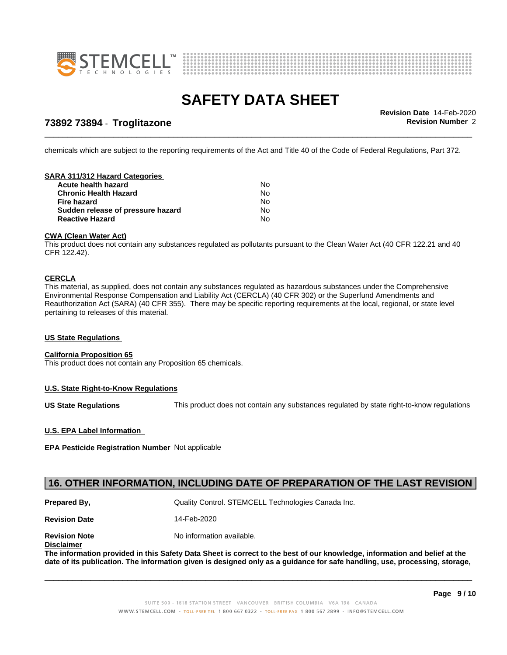



**73892 73894** - **Troglitazone Revision Number** 2

\_\_\_\_\_\_\_\_\_\_\_\_\_\_\_\_\_\_\_\_\_\_\_\_\_\_\_\_\_\_\_\_\_\_\_\_\_\_\_\_\_\_\_\_\_\_\_\_\_\_\_\_\_\_\_\_\_\_\_\_\_\_\_\_\_\_\_\_\_\_\_\_\_\_\_\_\_\_\_\_\_\_\_\_\_\_\_\_\_\_\_\_\_ **Revision Date** 14-Feb-2020

chemicals which are subject to the reporting requirements of the Act and Title 40 of the Code of Federal Regulations, Part 372.

#### **SARA 311/312 Hazard Categories**

| Acute health hazard               | N٥ |
|-----------------------------------|----|
| <b>Chronic Health Hazard</b>      | N٥ |
| Fire hazard                       | N٥ |
| Sudden release of pressure hazard | No |
| <b>Reactive Hazard</b>            | Nο |

#### **CWA (Clean WaterAct)**

This product does not contain any substances regulated as pollutants pursuant to the Clean Water Act (40 CFR 122.21 and 40 CFR 122.42).

#### **CERCLA**

This material, as supplied, does not contain any substances regulated as hazardous substances under the Comprehensive Environmental Response Compensation and Liability Act (CERCLA) (40 CFR 302) or the Superfund Amendments and Reauthorization Act (SARA) (40 CFR 355). There may be specific reporting requirements at the local, regional, or state level pertaining to releases of this material.

#### **US State Regulations**

#### **California Proposition 65**

This product does not contain any Proposition 65 chemicals.

#### **U.S. State Right-to-Know Regulations**

**US State Regulations** This product does not contain any substances regulated by state right-to-know regulations

#### **U.S. EPA Label Information**

**EPA Pesticide Registration Number** Notapplicable

## **16. OTHER INFORMATION, INCLUDING DATE OF PREPARATION OF THE LAST REVISION**

**Prepared By, State Control. STEMCELL Technologies Canada Inc.** Canada Inc.

**Revision Date** 14-Feb-2020

**Revision Note** Noinformation available.

**Disclaimer**

The information provided in this Safety Data Sheet is correct to the best of our knowledge, information and belief at the date of its publication. The information given is designed only as a guidance for safe handling, use, processing, storage,